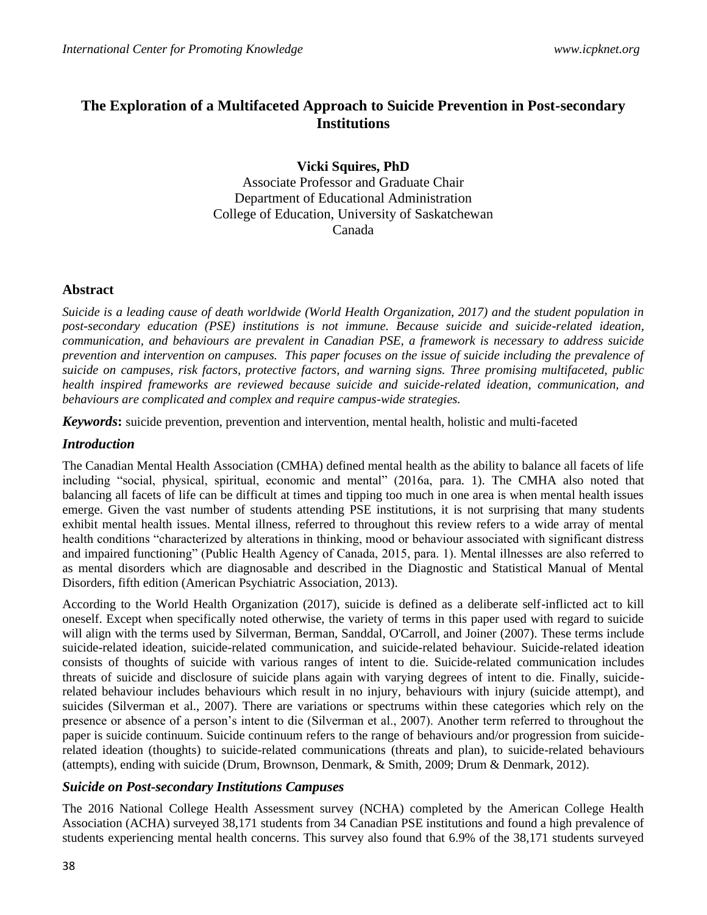# **The Exploration of a Multifaceted Approach to Suicide Prevention in Post-secondary Institutions**

**Vicki Squires, PhD**

Associate Professor and Graduate Chair Department of Educational Administration College of Education, University of Saskatchewan Canada

# **Abstract**

*Suicide is a leading cause of death worldwide (World Health Organization, 2017) and the student population in post-secondary education (PSE) institutions is not immune. Because suicide and suicide-related ideation, communication, and behaviours are prevalent in Canadian PSE, a framework is necessary to address suicide prevention and intervention on campuses. This paper focuses on the issue of suicide including the prevalence of suicide on campuses, risk factors, protective factors, and warning signs. Three promising multifaceted, public health inspired frameworks are reviewed because suicide and suicide-related ideation, communication, and behaviours are complicated and complex and require campus-wide strategies.* 

*Keywords***:** suicide prevention, prevention and intervention, mental health, holistic and multi-faceted

# *Introduction*

The Canadian Mental Health Association (CMHA) defined mental health as the ability to balance all facets of life including "social, physical, spiritual, economic and mental" (2016a, para. 1). The CMHA also noted that balancing all facets of life can be difficult at times and tipping too much in one area is when mental health issues emerge. Given the vast number of students attending PSE institutions, it is not surprising that many students exhibit mental health issues. Mental illness, referred to throughout this review refers to a wide array of mental health conditions "characterized by alterations in thinking, mood or behaviour associated with significant distress and impaired functioning" (Public Health Agency of Canada, 2015, para. 1). Mental illnesses are also referred to as mental disorders which are diagnosable and described in the Diagnostic and Statistical Manual of Mental Disorders, fifth edition (American Psychiatric Association, 2013).

According to the World Health Organization (2017), suicide is defined as a deliberate self-inflicted act to kill oneself. Except when specifically noted otherwise, the variety of terms in this paper used with regard to suicide will align with the terms used by Silverman, Berman, Sanddal, O'Carroll, and Joiner (2007). These terms include suicide-related ideation, suicide-related communication, and suicide-related behaviour. Suicide-related ideation consists of thoughts of suicide with various ranges of intent to die. Suicide-related communication includes threats of suicide and disclosure of suicide plans again with varying degrees of intent to die. Finally, suiciderelated behaviour includes behaviours which result in no injury, behaviours with injury (suicide attempt), and suicides (Silverman et al., 2007). There are variations or spectrums within these categories which rely on the presence or absence of a person's intent to die (Silverman et al., 2007). Another term referred to throughout the paper is suicide continuum. Suicide continuum refers to the range of behaviours and/or progression from suiciderelated ideation (thoughts) to suicide-related communications (threats and plan), to suicide-related behaviours (attempts), ending with suicide (Drum, Brownson, Denmark, & Smith, 2009; Drum & Denmark, 2012).

# *Suicide on Post-secondary Institutions Campuses*

The 2016 National College Health Assessment survey (NCHA) completed by the American College Health Association (ACHA) surveyed 38,171 students from 34 Canadian PSE institutions and found a high prevalence of students experiencing mental health concerns. This survey also found that 6.9% of the 38,171 students surveyed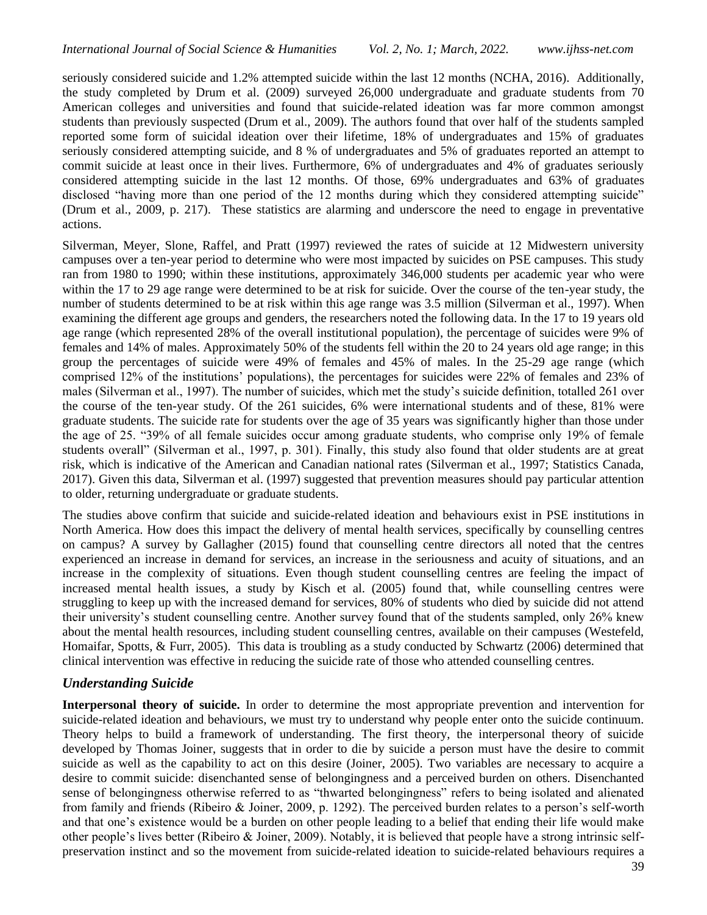seriously considered suicide and 1.2% attempted suicide within the last 12 months (NCHA, 2016). Additionally, the study completed by Drum et al. (2009) surveyed 26,000 undergraduate and graduate students from 70 American colleges and universities and found that suicide-related ideation was far more common amongst students than previously suspected (Drum et al., 2009). The authors found that over half of the students sampled reported some form of suicidal ideation over their lifetime, 18% of undergraduates and 15% of graduates seriously considered attempting suicide, and 8 % of undergraduates and 5% of graduates reported an attempt to commit suicide at least once in their lives. Furthermore, 6% of undergraduates and 4% of graduates seriously considered attempting suicide in the last 12 months. Of those, 69% undergraduates and 63% of graduates disclosed "having more than one period of the 12 months during which they considered attempting suicide" (Drum et al., 2009, p. 217). These statistics are alarming and underscore the need to engage in preventative actions.

Silverman, Meyer, Slone, Raffel, and Pratt (1997) reviewed the rates of suicide at 12 Midwestern university campuses over a ten-year period to determine who were most impacted by suicides on PSE campuses. This study ran from 1980 to 1990; within these institutions, approximately 346,000 students per academic year who were within the 17 to 29 age range were determined to be at risk for suicide. Over the course of the ten-year study, the number of students determined to be at risk within this age range was 3.5 million (Silverman et al., 1997). When examining the different age groups and genders, the researchers noted the following data. In the 17 to 19 years old age range (which represented 28% of the overall institutional population), the percentage of suicides were 9% of females and 14% of males. Approximately 50% of the students fell within the 20 to 24 years old age range; in this group the percentages of suicide were 49% of females and 45% of males. In the 25-29 age range (which comprised 12% of the institutions' populations), the percentages for suicides were 22% of females and 23% of males (Silverman et al., 1997). The number of suicides, which met the study's suicide definition, totalled 261 over the course of the ten-year study. Of the 261 suicides, 6% were international students and of these, 81% were graduate students. The suicide rate for students over the age of 35 years was significantly higher than those under the age of 25. "39% of all female suicides occur among graduate students, who comprise only 19% of female students overall" (Silverman et al., 1997, p. 301). Finally, this study also found that older students are at great risk, which is indicative of the American and Canadian national rates (Silverman et al., 1997; Statistics Canada, 2017). Given this data, Silverman et al. (1997) suggested that prevention measures should pay particular attention to older, returning undergraduate or graduate students.

The studies above confirm that suicide and suicide-related ideation and behaviours exist in PSE institutions in North America. How does this impact the delivery of mental health services, specifically by counselling centres on campus? A survey by Gallagher (2015) found that counselling centre directors all noted that the centres experienced an increase in demand for services, an increase in the seriousness and acuity of situations, and an increase in the complexity of situations. Even though student counselling centres are feeling the impact of increased mental health issues, a study by Kisch et al. (2005) found that, while counselling centres were struggling to keep up with the increased demand for services, 80% of students who died by suicide did not attend their university's student counselling centre. Another survey found that of the students sampled, only 26% knew about the mental health resources, including student counselling centres, available on their campuses (Westefeld, Homaifar, Spotts, & Furr, 2005). This data is troubling as a study conducted by Schwartz (2006) determined that clinical intervention was effective in reducing the suicide rate of those who attended counselling centres.

#### *Understanding Suicide*

**Interpersonal theory of suicide.** In order to determine the most appropriate prevention and intervention for suicide-related ideation and behaviours, we must try to understand why people enter onto the suicide continuum. Theory helps to build a framework of understanding. The first theory, the interpersonal theory of suicide developed by Thomas Joiner, suggests that in order to die by suicide a person must have the desire to commit suicide as well as the capability to act on this desire (Joiner, 2005). Two variables are necessary to acquire a desire to commit suicide: disenchanted sense of belongingness and a perceived burden on others. Disenchanted sense of belongingness otherwise referred to as "thwarted belongingness" refers to being isolated and alienated from family and friends (Ribeiro & Joiner, 2009, p. 1292). The perceived burden relates to a person's self-worth and that one's existence would be a burden on other people leading to a belief that ending their life would make other people's lives better (Ribeiro & Joiner, 2009). Notably, it is believed that people have a strong intrinsic selfpreservation instinct and so the movement from suicide-related ideation to suicide-related behaviours requires a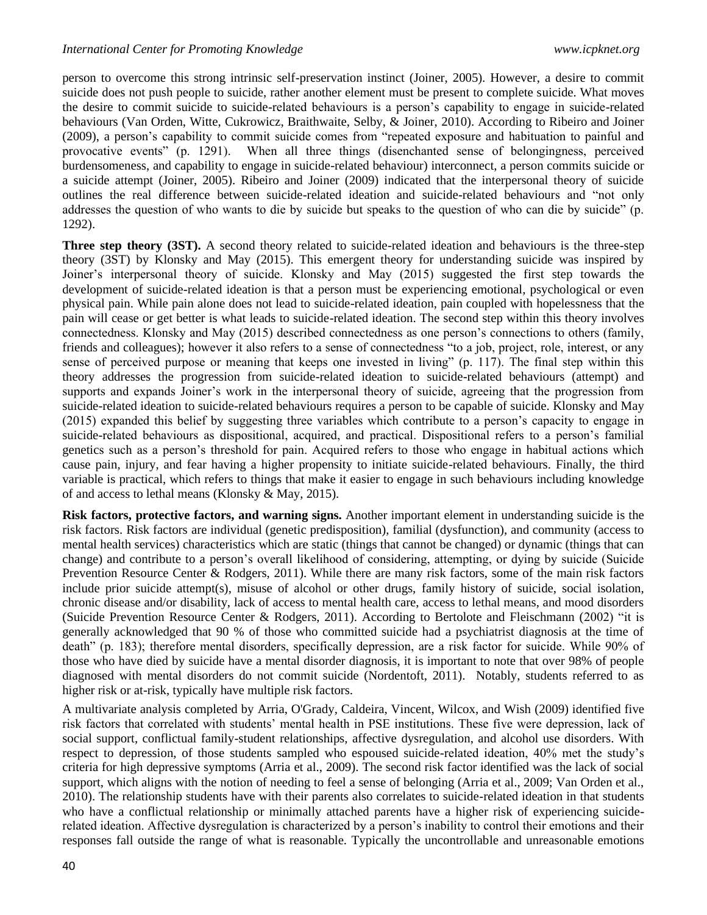person to overcome this strong intrinsic self-preservation instinct (Joiner, 2005). However, a desire to commit suicide does not push people to suicide, rather another element must be present to complete suicide. What moves the desire to commit suicide to suicide-related behaviours is a person's capability to engage in suicide-related behaviours (Van Orden, Witte, Cukrowicz, Braithwaite, Selby, & Joiner, 2010). According to Ribeiro and Joiner (2009), a person's capability to commit suicide comes from "repeated exposure and habituation to painful and provocative events" (p. 1291). When all three things (disenchanted sense of belongingness, perceived burdensomeness, and capability to engage in suicide-related behaviour) interconnect, a person commits suicide or a suicide attempt (Joiner, 2005). Ribeiro and Joiner (2009) indicated that the interpersonal theory of suicide outlines the real difference between suicide-related ideation and suicide-related behaviours and "not only addresses the question of who wants to die by suicide but speaks to the question of who can die by suicide" (p. 1292).

**Three step theory (3ST).** A second theory related to suicide-related ideation and behaviours is the three-step theory (3ST) by Klonsky and May (2015). This emergent theory for understanding suicide was inspired by Joiner's interpersonal theory of suicide. Klonsky and May (2015) suggested the first step towards the development of suicide-related ideation is that a person must be experiencing emotional, psychological or even physical pain. While pain alone does not lead to suicide-related ideation, pain coupled with hopelessness that the pain will cease or get better is what leads to suicide-related ideation. The second step within this theory involves connectedness. Klonsky and May (2015) described connectedness as one person's connections to others (family, friends and colleagues); however it also refers to a sense of connectedness "to a job, project, role, interest, or any sense of perceived purpose or meaning that keeps one invested in living" (p. 117). The final step within this theory addresses the progression from suicide-related ideation to suicide-related behaviours (attempt) and supports and expands Joiner's work in the interpersonal theory of suicide, agreeing that the progression from suicide-related ideation to suicide-related behaviours requires a person to be capable of suicide. Klonsky and May (2015) expanded this belief by suggesting three variables which contribute to a person's capacity to engage in suicide-related behaviours as dispositional, acquired, and practical. Dispositional refers to a person's familial genetics such as a person's threshold for pain. Acquired refers to those who engage in habitual actions which cause pain, injury, and fear having a higher propensity to initiate suicide-related behaviours. Finally, the third variable is practical, which refers to things that make it easier to engage in such behaviours including knowledge of and access to lethal means (Klonsky & May, 2015).

**Risk factors, protective factors, and warning signs.** Another important element in understanding suicide is the risk factors. Risk factors are individual (genetic predisposition), familial (dysfunction), and community (access to mental health services) characteristics which are static (things that cannot be changed) or dynamic (things that can change) and contribute to a person's overall likelihood of considering, attempting, or dying by suicide (Suicide Prevention Resource Center & Rodgers, 2011). While there are many risk factors, some of the main risk factors include prior suicide attempt(s), misuse of alcohol or other drugs, family history of suicide, social isolation, chronic disease and/or disability, lack of access to mental health care, access to lethal means, and mood disorders (Suicide Prevention Resource Center & Rodgers, 2011). According to Bertolote and Fleischmann (2002) "it is generally acknowledged that 90 % of those who committed suicide had a psychiatrist diagnosis at the time of death" (p. 183); therefore mental disorders, specifically depression, are a risk factor for suicide. While 90% of those who have died by suicide have a mental disorder diagnosis, it is important to note that over 98% of people diagnosed with mental disorders do not commit suicide (Nordentoft, 2011). Notably, students referred to as higher risk or at-risk, typically have multiple risk factors.

A multivariate analysis completed by Arria, O'Grady, Caldeira, Vincent, Wilcox, and Wish (2009) identified five risk factors that correlated with students' mental health in PSE institutions. These five were depression, lack of social support, conflictual family-student relationships, affective dysregulation, and alcohol use disorders. With respect to depression, of those students sampled who espoused suicide-related ideation, 40% met the study's criteria for high depressive symptoms (Arria et al., 2009). The second risk factor identified was the lack of social support, which aligns with the notion of needing to feel a sense of belonging (Arria et al., 2009; Van Orden et al., 2010). The relationship students have with their parents also correlates to suicide-related ideation in that students who have a conflictual relationship or minimally attached parents have a higher risk of experiencing suiciderelated ideation. Affective dysregulation is characterized by a person's inability to control their emotions and their responses fall outside the range of what is reasonable. Typically the uncontrollable and unreasonable emotions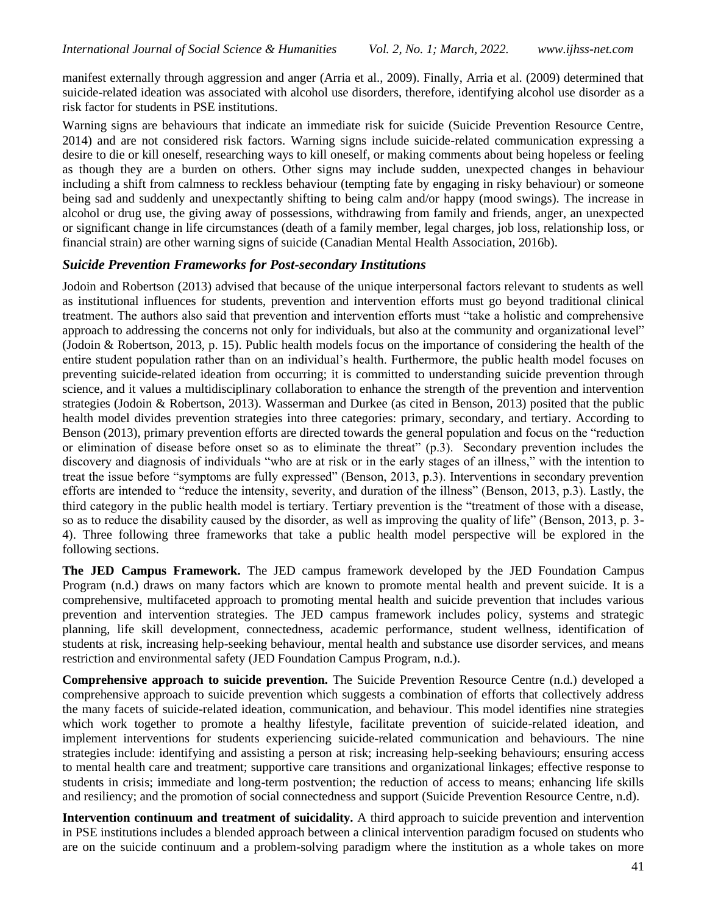manifest externally through aggression and anger (Arria et al., 2009). Finally, Arria et al. (2009) determined that suicide-related ideation was associated with alcohol use disorders, therefore, identifying alcohol use disorder as a risk factor for students in PSE institutions.

Warning signs are behaviours that indicate an immediate risk for suicide (Suicide Prevention Resource Centre, 2014) and are not considered risk factors. Warning signs include suicide-related communication expressing a desire to die or kill oneself, researching ways to kill oneself, or making comments about being hopeless or feeling as though they are a burden on others. Other signs may include sudden, unexpected changes in behaviour including a shift from calmness to reckless behaviour (tempting fate by engaging in risky behaviour) or someone being sad and suddenly and unexpectantly shifting to being calm and/or happy (mood swings). The increase in alcohol or drug use, the giving away of possessions, withdrawing from family and friends, anger, an unexpected or significant change in life circumstances (death of a family member, legal charges, job loss, relationship loss, or financial strain) are other warning signs of suicide (Canadian Mental Health Association, 2016b).

#### *Suicide Prevention Frameworks for Post-secondary Institutions*

Jodoin and Robertson (2013) advised that because of the unique interpersonal factors relevant to students as well as institutional influences for students, prevention and intervention efforts must go beyond traditional clinical treatment. The authors also said that prevention and intervention efforts must "take a holistic and comprehensive approach to addressing the concerns not only for individuals, but also at the community and organizational level" (Jodoin & Robertson, 2013, p. 15). Public health models focus on the importance of considering the health of the entire student population rather than on an individual's health. Furthermore, the public health model focuses on preventing suicide-related ideation from occurring; it is committed to understanding suicide prevention through science, and it values a multidisciplinary collaboration to enhance the strength of the prevention and intervention strategies (Jodoin & Robertson, 2013). Wasserman and Durkee (as cited in Benson, 2013) posited that the public health model divides prevention strategies into three categories: primary, secondary, and tertiary. According to Benson (2013), primary prevention efforts are directed towards the general population and focus on the "reduction or elimination of disease before onset so as to eliminate the threat" (p.3). Secondary prevention includes the discovery and diagnosis of individuals "who are at risk or in the early stages of an illness," with the intention to treat the issue before "symptoms are fully expressed" (Benson, 2013, p.3). Interventions in secondary prevention efforts are intended to "reduce the intensity, severity, and duration of the illness" (Benson, 2013, p.3). Lastly, the third category in the public health model is tertiary. Tertiary prevention is the "treatment of those with a disease, so as to reduce the disability caused by the disorder, as well as improving the quality of life" (Benson, 2013, p. 3- 4). Three following three frameworks that take a public health model perspective will be explored in the following sections.

**The JED Campus Framework.** The JED campus framework developed by the JED Foundation Campus Program (n.d.) draws on many factors which are known to promote mental health and prevent suicide. It is a comprehensive, multifaceted approach to promoting mental health and suicide prevention that includes various prevention and intervention strategies. The JED campus framework includes policy, systems and strategic planning, life skill development, connectedness, academic performance, student wellness, identification of students at risk, increasing help-seeking behaviour, mental health and substance use disorder services, and means restriction and environmental safety (JED Foundation Campus Program, n.d.).

**Comprehensive approach to suicide prevention.** The Suicide Prevention Resource Centre (n.d.) developed a comprehensive approach to suicide prevention which suggests a combination of efforts that collectively address the many facets of suicide-related ideation, communication, and behaviour. This model identifies nine strategies which work together to promote a healthy lifestyle, facilitate prevention of suicide-related ideation, and implement interventions for students experiencing suicide-related communication and behaviours. The nine strategies include: identifying and assisting a person at risk; increasing help-seeking behaviours; ensuring access to mental health care and treatment; supportive care transitions and organizational linkages; effective response to students in crisis; immediate and long-term postvention; the reduction of access to means; enhancing life skills and resiliency; and the promotion of social connectedness and support (Suicide Prevention Resource Centre, n.d).

**Intervention continuum and treatment of suicidality.** A third approach to suicide prevention and intervention in PSE institutions includes a blended approach between a clinical intervention paradigm focused on students who are on the suicide continuum and a problem-solving paradigm where the institution as a whole takes on more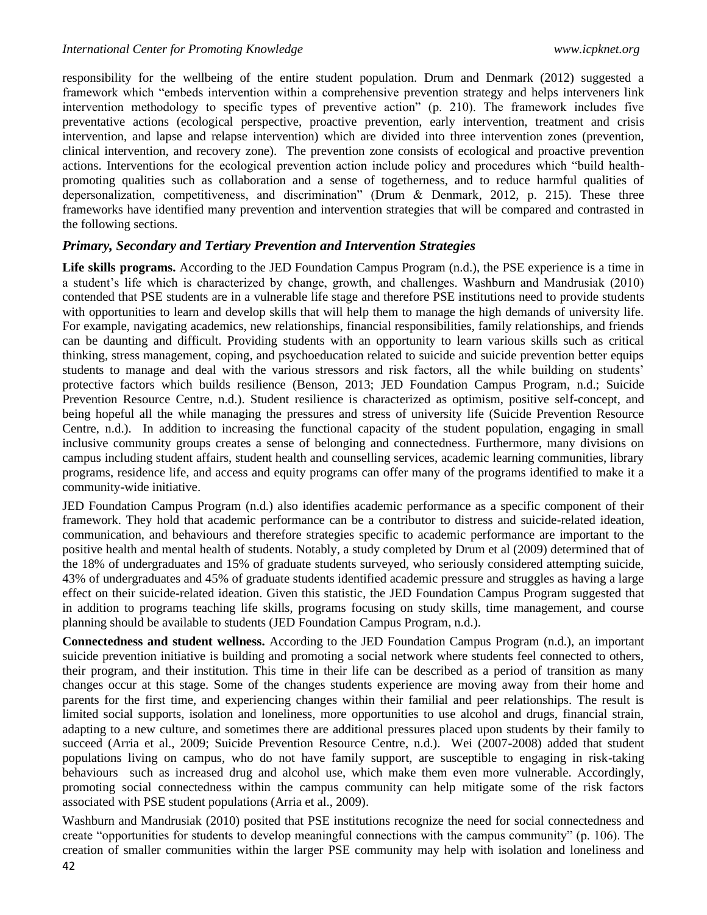responsibility for the wellbeing of the entire student population. Drum and Denmark (2012) suggested a framework which "embeds intervention within a comprehensive prevention strategy and helps interveners link intervention methodology to specific types of preventive action" (p. 210). The framework includes five preventative actions (ecological perspective, proactive prevention, early intervention, treatment and crisis intervention, and lapse and relapse intervention) which are divided into three intervention zones (prevention, clinical intervention, and recovery zone). The prevention zone consists of ecological and proactive prevention actions. Interventions for the ecological prevention action include policy and procedures which "build healthpromoting qualities such as collaboration and a sense of togetherness, and to reduce harmful qualities of depersonalization, competitiveness, and discrimination" (Drum & Denmark, 2012, p. 215). These three frameworks have identified many prevention and intervention strategies that will be compared and contrasted in the following sections.

# *Primary, Secondary and Tertiary Prevention and Intervention Strategies*

**Life skills programs.** According to the JED Foundation Campus Program (n.d.), the PSE experience is a time in a student's life which is characterized by change, growth, and challenges. Washburn and Mandrusiak (2010) contended that PSE students are in a vulnerable life stage and therefore PSE institutions need to provide students with opportunities to learn and develop skills that will help them to manage the high demands of university life. For example, navigating academics, new relationships, financial responsibilities, family relationships, and friends can be daunting and difficult. Providing students with an opportunity to learn various skills such as critical thinking, stress management, coping, and psychoeducation related to suicide and suicide prevention better equips students to manage and deal with the various stressors and risk factors, all the while building on students' protective factors which builds resilience (Benson, 2013; JED Foundation Campus Program, n.d.; Suicide Prevention Resource Centre, n.d.). Student resilience is characterized as optimism, positive self-concept, and being hopeful all the while managing the pressures and stress of university life (Suicide Prevention Resource Centre, n.d.). In addition to increasing the functional capacity of the student population, engaging in small inclusive community groups creates a sense of belonging and connectedness. Furthermore, many divisions on campus including student affairs, student health and counselling services, academic learning communities, library programs, residence life, and access and equity programs can offer many of the programs identified to make it a community-wide initiative.

JED Foundation Campus Program (n.d.) also identifies academic performance as a specific component of their framework. They hold that academic performance can be a contributor to distress and suicide-related ideation, communication, and behaviours and therefore strategies specific to academic performance are important to the positive health and mental health of students. Notably, a study completed by Drum et al (2009) determined that of the 18% of undergraduates and 15% of graduate students surveyed, who seriously considered attempting suicide, 43% of undergraduates and 45% of graduate students identified academic pressure and struggles as having a large effect on their suicide-related ideation. Given this statistic, the JED Foundation Campus Program suggested that in addition to programs teaching life skills, programs focusing on study skills, time management, and course planning should be available to students (JED Foundation Campus Program, n.d.).

**Connectedness and student wellness.** According to the JED Foundation Campus Program (n.d.), an important suicide prevention initiative is building and promoting a social network where students feel connected to others, their program, and their institution. This time in their life can be described as a period of transition as many changes occur at this stage. Some of the changes students experience are moving away from their home and parents for the first time, and experiencing changes within their familial and peer relationships. The result is limited social supports, isolation and loneliness, more opportunities to use alcohol and drugs, financial strain, adapting to a new culture, and sometimes there are additional pressures placed upon students by their family to succeed (Arria et al., 2009; Suicide Prevention Resource Centre, n.d.). Wei (2007-2008) added that student populations living on campus, who do not have family support, are susceptible to engaging in risk-taking behaviours such as increased drug and alcohol use, which make them even more vulnerable. Accordingly, promoting social connectedness within the campus community can help mitigate some of the risk factors associated with PSE student populations (Arria et al., 2009).

Washburn and Mandrusiak (2010) posited that PSE institutions recognize the need for social connectedness and create "opportunities for students to develop meaningful connections with the campus community" (p. 106). The creation of smaller communities within the larger PSE community may help with isolation and loneliness and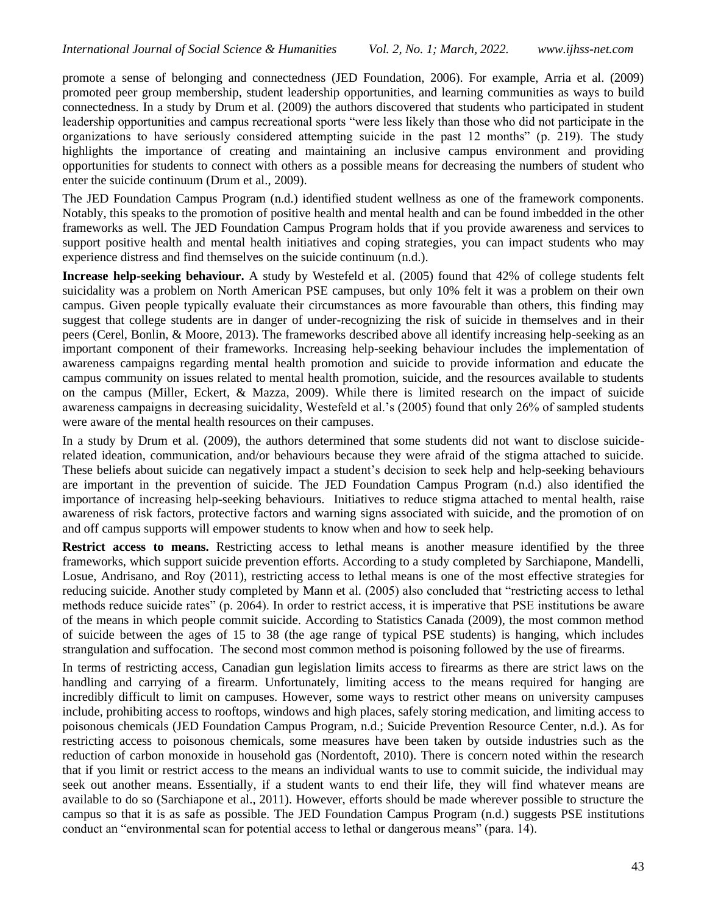promote a sense of belonging and connectedness (JED Foundation, 2006). For example, Arria et al. (2009) promoted peer group membership, student leadership opportunities, and learning communities as ways to build connectedness. In a study by Drum et al. (2009) the authors discovered that students who participated in student leadership opportunities and campus recreational sports "were less likely than those who did not participate in the organizations to have seriously considered attempting suicide in the past 12 months" (p. 219). The study highlights the importance of creating and maintaining an inclusive campus environment and providing opportunities for students to connect with others as a possible means for decreasing the numbers of student who enter the suicide continuum (Drum et al., 2009).

The JED Foundation Campus Program (n.d.) identified student wellness as one of the framework components. Notably, this speaks to the promotion of positive health and mental health and can be found imbedded in the other frameworks as well. The JED Foundation Campus Program holds that if you provide awareness and services to support positive health and mental health initiatives and coping strategies, you can impact students who may experience distress and find themselves on the suicide continuum (n.d.).

**Increase help-seeking behaviour.** A study by Westefeld et al. (2005) found that 42% of college students felt suicidality was a problem on North American PSE campuses, but only 10% felt it was a problem on their own campus. Given people typically evaluate their circumstances as more favourable than others, this finding may suggest that college students are in danger of under-recognizing the risk of suicide in themselves and in their peers (Cerel, Bonlin, & Moore, 2013). The frameworks described above all identify increasing help-seeking as an important component of their frameworks. Increasing help-seeking behaviour includes the implementation of awareness campaigns regarding mental health promotion and suicide to provide information and educate the campus community on issues related to mental health promotion, suicide, and the resources available to students on the campus (Miller, Eckert, & Mazza, 2009). While there is limited research on the impact of suicide awareness campaigns in decreasing suicidality, Westefeld et al.'s (2005) found that only 26% of sampled students were aware of the mental health resources on their campuses.

In a study by Drum et al. (2009), the authors determined that some students did not want to disclose suiciderelated ideation, communication, and/or behaviours because they were afraid of the stigma attached to suicide. These beliefs about suicide can negatively impact a student's decision to seek help and help-seeking behaviours are important in the prevention of suicide. The JED Foundation Campus Program (n.d.) also identified the importance of increasing help-seeking behaviours. Initiatives to reduce stigma attached to mental health, raise awareness of risk factors, protective factors and warning signs associated with suicide, and the promotion of on and off campus supports will empower students to know when and how to seek help.

**Restrict access to means.** Restricting access to lethal means is another measure identified by the three frameworks, which support suicide prevention efforts. According to a study completed by Sarchiapone, Mandelli, Losue, Andrisano, and Roy (2011), restricting access to lethal means is one of the most effective strategies for reducing suicide. Another study completed by Mann et al. (2005) also concluded that "restricting access to lethal methods reduce suicide rates" (p. 2064). In order to restrict access, it is imperative that PSE institutions be aware of the means in which people commit suicide. According to Statistics Canada (2009), the most common method of suicide between the ages of 15 to 38 (the age range of typical PSE students) is hanging, which includes strangulation and suffocation. The second most common method is poisoning followed by the use of firearms.

In terms of restricting access, Canadian gun legislation limits access to firearms as there are strict laws on the handling and carrying of a firearm. Unfortunately, limiting access to the means required for hanging are incredibly difficult to limit on campuses. However, some ways to restrict other means on university campuses include, prohibiting access to rooftops, windows and high places, safely storing medication, and limiting access to poisonous chemicals (JED Foundation Campus Program, n.d.; Suicide Prevention Resource Center, n.d.). As for restricting access to poisonous chemicals, some measures have been taken by outside industries such as the reduction of carbon monoxide in household gas (Nordentoft, 2010). There is concern noted within the research that if you limit or restrict access to the means an individual wants to use to commit suicide, the individual may seek out another means. Essentially, if a student wants to end their life, they will find whatever means are available to do so (Sarchiapone et al., 2011). However, efforts should be made wherever possible to structure the campus so that it is as safe as possible. The JED Foundation Campus Program (n.d.) suggests PSE institutions conduct an "environmental scan for potential access to lethal or dangerous means" (para. 14).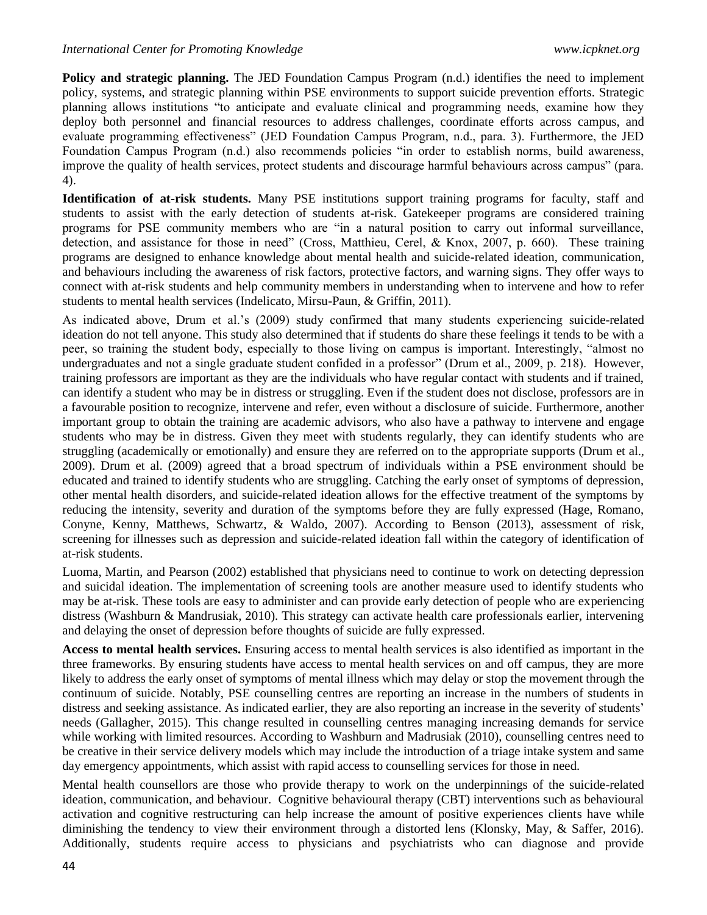**Policy and strategic planning.** The JED Foundation Campus Program (n.d.) identifies the need to implement policy, systems, and strategic planning within PSE environments to support suicide prevention efforts. Strategic planning allows institutions "to anticipate and evaluate clinical and programming needs, examine how they deploy both personnel and financial resources to address challenges, coordinate efforts across campus, and evaluate programming effectiveness" (JED Foundation Campus Program, n.d., para. 3). Furthermore, the JED Foundation Campus Program (n.d.) also recommends policies "in order to establish norms, build awareness, improve the quality of health services, protect students and discourage harmful behaviours across campus" (para. 4).

**Identification of at-risk students.** Many PSE institutions support training programs for faculty, staff and students to assist with the early detection of students at-risk. Gatekeeper programs are considered training programs for PSE community members who are "in a natural position to carry out informal surveillance, detection, and assistance for those in need" (Cross, Matthieu, Cerel, & Knox, 2007, p. 660). These training programs are designed to enhance knowledge about mental health and suicide-related ideation, communication, and behaviours including the awareness of risk factors, protective factors, and warning signs. They offer ways to connect with at-risk students and help community members in understanding when to intervene and how to refer students to mental health services (Indelicato, Mirsu-Paun, & Griffin, 2011).

As indicated above, Drum et al.'s (2009) study confirmed that many students experiencing suicide-related ideation do not tell anyone. This study also determined that if students do share these feelings it tends to be with a peer, so training the student body, especially to those living on campus is important. Interestingly, "almost no undergraduates and not a single graduate student confided in a professor" (Drum et al., 2009, p. 218). However, training professors are important as they are the individuals who have regular contact with students and if trained, can identify a student who may be in distress or struggling. Even if the student does not disclose, professors are in a favourable position to recognize, intervene and refer, even without a disclosure of suicide. Furthermore, another important group to obtain the training are academic advisors, who also have a pathway to intervene and engage students who may be in distress. Given they meet with students regularly, they can identify students who are struggling (academically or emotionally) and ensure they are referred on to the appropriate supports (Drum et al., 2009). Drum et al. (2009) agreed that a broad spectrum of individuals within a PSE environment should be educated and trained to identify students who are struggling. Catching the early onset of symptoms of depression, other mental health disorders, and suicide-related ideation allows for the effective treatment of the symptoms by reducing the intensity, severity and duration of the symptoms before they are fully expressed (Hage, Romano, Conyne, Kenny, Matthews, Schwartz, & Waldo, 2007). According to Benson (2013), assessment of risk, screening for illnesses such as depression and suicide-related ideation fall within the category of identification of at-risk students.

Luoma, Martin, and Pearson (2002) established that physicians need to continue to work on detecting depression and suicidal ideation. The implementation of screening tools are another measure used to identify students who may be at-risk. These tools are easy to administer and can provide early detection of people who are experiencing distress (Washburn & Mandrusiak, 2010). This strategy can activate health care professionals earlier, intervening and delaying the onset of depression before thoughts of suicide are fully expressed.

**Access to mental health services.** Ensuring access to mental health services is also identified as important in the three frameworks. By ensuring students have access to mental health services on and off campus, they are more likely to address the early onset of symptoms of mental illness which may delay or stop the movement through the continuum of suicide. Notably, PSE counselling centres are reporting an increase in the numbers of students in distress and seeking assistance. As indicated earlier, they are also reporting an increase in the severity of students' needs (Gallagher, 2015). This change resulted in counselling centres managing increasing demands for service while working with limited resources. According to Washburn and Madrusiak (2010), counselling centres need to be creative in their service delivery models which may include the introduction of a triage intake system and same day emergency appointments, which assist with rapid access to counselling services for those in need.

Mental health counsellors are those who provide therapy to work on the underpinnings of the suicide-related ideation, communication, and behaviour. Cognitive behavioural therapy (CBT) interventions such as behavioural activation and cognitive restructuring can help increase the amount of positive experiences clients have while diminishing the tendency to view their environment through a distorted lens (Klonsky, May, & Saffer, 2016). Additionally, students require access to physicians and psychiatrists who can diagnose and provide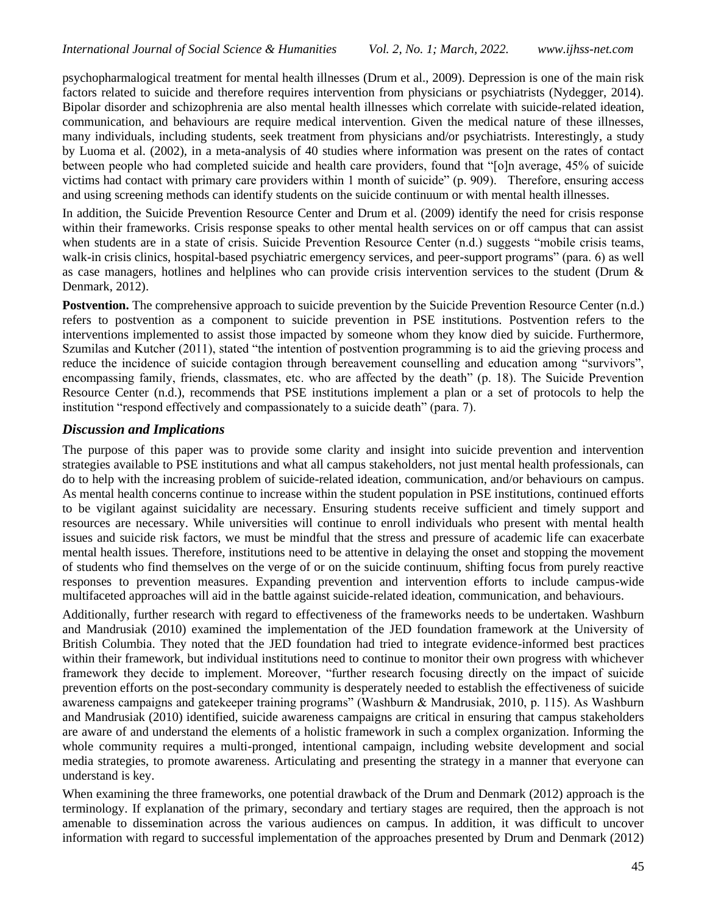psychopharmalogical treatment for mental health illnesses (Drum et al., 2009). Depression is one of the main risk factors related to suicide and therefore requires intervention from physicians or psychiatrists (Nydegger, 2014). Bipolar disorder and schizophrenia are also mental health illnesses which correlate with suicide-related ideation, communication, and behaviours are require medical intervention. Given the medical nature of these illnesses, many individuals, including students, seek treatment from physicians and/or psychiatrists. Interestingly, a study by Luoma et al. (2002), in a meta-analysis of 40 studies where information was present on the rates of contact between people who had completed suicide and health care providers, found that "[o]n average, 45% of suicide victims had contact with primary care providers within 1 month of suicide" (p. 909). Therefore, ensuring access and using screening methods can identify students on the suicide continuum or with mental health illnesses.

In addition, the Suicide Prevention Resource Center and Drum et al. (2009) identify the need for crisis response within their frameworks. Crisis response speaks to other mental health services on or off campus that can assist when students are in a state of crisis. Suicide Prevention Resource Center (n.d.) suggests "mobile crisis teams, walk-in crisis clinics, hospital-based psychiatric emergency services, and peer-support programs" (para. 6) as well as case managers, hotlines and helplines who can provide crisis intervention services to the student (Drum & Denmark, 2012).

**Postvention.** The comprehensive approach to suicide prevention by the Suicide Prevention Resource Center (n.d.) refers to postvention as a component to suicide prevention in PSE institutions. Postvention refers to the interventions implemented to assist those impacted by someone whom they know died by suicide. Furthermore, Szumilas and Kutcher (2011), stated "the intention of postvention programming is to aid the grieving process and reduce the incidence of suicide contagion through bereavement counselling and education among "survivors", encompassing family, friends, classmates, etc. who are affected by the death" (p. 18). The Suicide Prevention Resource Center (n.d.), recommends that PSE institutions implement a plan or a set of protocols to help the institution "respond effectively and compassionately to a suicide death" (para. 7).

# *Discussion and Implications*

The purpose of this paper was to provide some clarity and insight into suicide prevention and intervention strategies available to PSE institutions and what all campus stakeholders, not just mental health professionals, can do to help with the increasing problem of suicide-related ideation, communication, and/or behaviours on campus. As mental health concerns continue to increase within the student population in PSE institutions, continued efforts to be vigilant against suicidality are necessary. Ensuring students receive sufficient and timely support and resources are necessary. While universities will continue to enroll individuals who present with mental health issues and suicide risk factors, we must be mindful that the stress and pressure of academic life can exacerbate mental health issues. Therefore, institutions need to be attentive in delaying the onset and stopping the movement of students who find themselves on the verge of or on the suicide continuum, shifting focus from purely reactive responses to prevention measures. Expanding prevention and intervention efforts to include campus-wide multifaceted approaches will aid in the battle against suicide-related ideation, communication, and behaviours.

Additionally, further research with regard to effectiveness of the frameworks needs to be undertaken. Washburn and Mandrusiak (2010) examined the implementation of the JED foundation framework at the University of British Columbia. They noted that the JED foundation had tried to integrate evidence-informed best practices within their framework, but individual institutions need to continue to monitor their own progress with whichever framework they decide to implement. Moreover, "further research focusing directly on the impact of suicide prevention efforts on the post-secondary community is desperately needed to establish the effectiveness of suicide awareness campaigns and gatekeeper training programs" (Washburn & Mandrusiak, 2010, p. 115). As Washburn and Mandrusiak (2010) identified, suicide awareness campaigns are critical in ensuring that campus stakeholders are aware of and understand the elements of a holistic framework in such a complex organization. Informing the whole community requires a multi-pronged, intentional campaign, including website development and social media strategies, to promote awareness. Articulating and presenting the strategy in a manner that everyone can understand is key.

When examining the three frameworks, one potential drawback of the Drum and Denmark (2012) approach is the terminology. If explanation of the primary, secondary and tertiary stages are required, then the approach is not amenable to dissemination across the various audiences on campus. In addition, it was difficult to uncover information with regard to successful implementation of the approaches presented by Drum and Denmark (2012)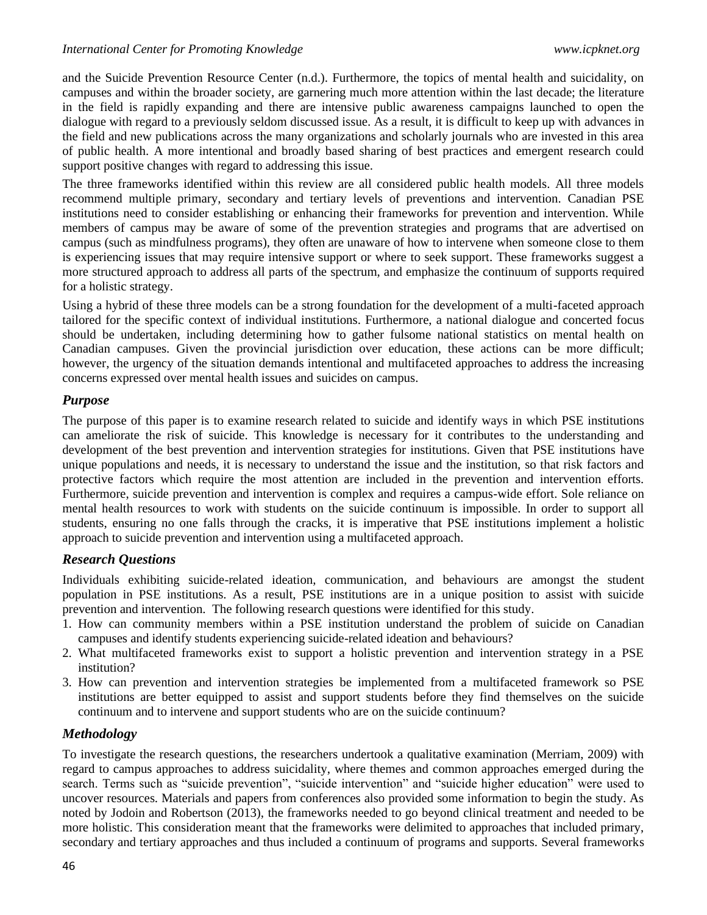and the Suicide Prevention Resource Center (n.d.). Furthermore, the topics of mental health and suicidality, on campuses and within the broader society, are garnering much more attention within the last decade; the literature in the field is rapidly expanding and there are intensive public awareness campaigns launched to open the dialogue with regard to a previously seldom discussed issue. As a result, it is difficult to keep up with advances in the field and new publications across the many organizations and scholarly journals who are invested in this area of public health. A more intentional and broadly based sharing of best practices and emergent research could support positive changes with regard to addressing this issue.

The three frameworks identified within this review are all considered public health models. All three models recommend multiple primary, secondary and tertiary levels of preventions and intervention. Canadian PSE institutions need to consider establishing or enhancing their frameworks for prevention and intervention. While members of campus may be aware of some of the prevention strategies and programs that are advertised on campus (such as mindfulness programs), they often are unaware of how to intervene when someone close to them is experiencing issues that may require intensive support or where to seek support. These frameworks suggest a more structured approach to address all parts of the spectrum, and emphasize the continuum of supports required for a holistic strategy.

Using a hybrid of these three models can be a strong foundation for the development of a multi-faceted approach tailored for the specific context of individual institutions. Furthermore, a national dialogue and concerted focus should be undertaken, including determining how to gather fulsome national statistics on mental health on Canadian campuses. Given the provincial jurisdiction over education, these actions can be more difficult; however, the urgency of the situation demands intentional and multifaceted approaches to address the increasing concerns expressed over mental health issues and suicides on campus.

### *Purpose*

The purpose of this paper is to examine research related to suicide and identify ways in which PSE institutions can ameliorate the risk of suicide. This knowledge is necessary for it contributes to the understanding and development of the best prevention and intervention strategies for institutions. Given that PSE institutions have unique populations and needs, it is necessary to understand the issue and the institution, so that risk factors and protective factors which require the most attention are included in the prevention and intervention efforts. Furthermore, suicide prevention and intervention is complex and requires a campus-wide effort. Sole reliance on mental health resources to work with students on the suicide continuum is impossible. In order to support all students, ensuring no one falls through the cracks, it is imperative that PSE institutions implement a holistic approach to suicide prevention and intervention using a multifaceted approach.

# *Research Questions*

Individuals exhibiting suicide-related ideation, communication, and behaviours are amongst the student population in PSE institutions. As a result, PSE institutions are in a unique position to assist with suicide prevention and intervention. The following research questions were identified for this study.

- 1. How can community members within a PSE institution understand the problem of suicide on Canadian campuses and identify students experiencing suicide-related ideation and behaviours?
- 2. What multifaceted frameworks exist to support a holistic prevention and intervention strategy in a PSE institution?
- 3. How can prevention and intervention strategies be implemented from a multifaceted framework so PSE institutions are better equipped to assist and support students before they find themselves on the suicide continuum and to intervene and support students who are on the suicide continuum?

# *Methodology*

To investigate the research questions, the researchers undertook a qualitative examination (Merriam, 2009) with regard to campus approaches to address suicidality, where themes and common approaches emerged during the search. Terms such as "suicide prevention", "suicide intervention" and "suicide higher education" were used to uncover resources. Materials and papers from conferences also provided some information to begin the study. As noted by Jodoin and Robertson (2013), the frameworks needed to go beyond clinical treatment and needed to be more holistic. This consideration meant that the frameworks were delimited to approaches that included primary, secondary and tertiary approaches and thus included a continuum of programs and supports. Several frameworks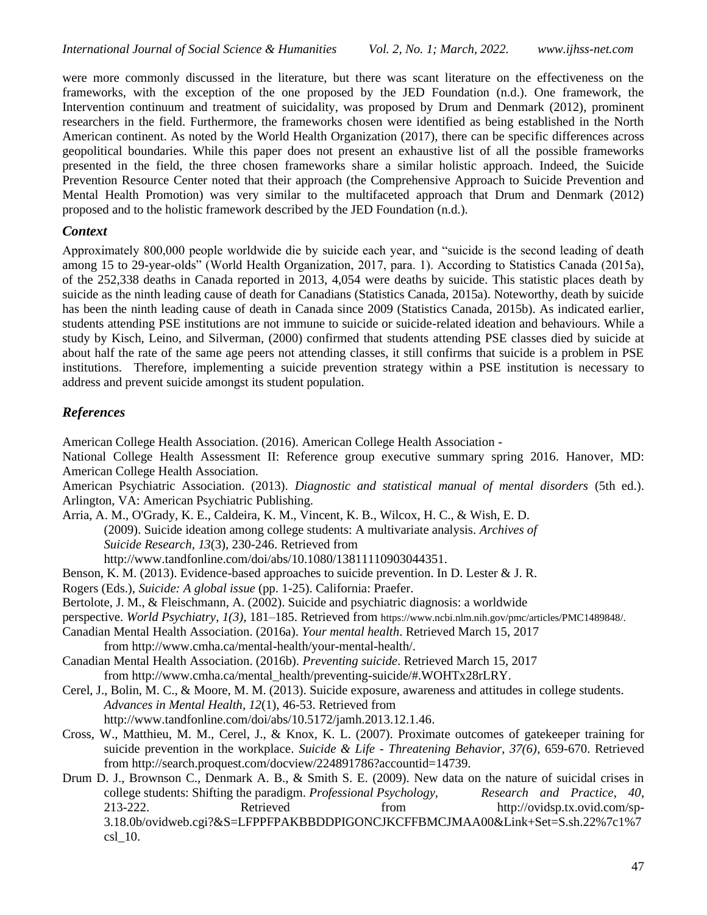were more commonly discussed in the literature, but there was scant literature on the effectiveness on the frameworks, with the exception of the one proposed by the JED Foundation (n.d.). One framework, the Intervention continuum and treatment of suicidality, was proposed by Drum and Denmark (2012), prominent researchers in the field. Furthermore, the frameworks chosen were identified as being established in the North American continent. As noted by the World Health Organization (2017), there can be specific differences across geopolitical boundaries. While this paper does not present an exhaustive list of all the possible frameworks presented in the field, the three chosen frameworks share a similar holistic approach. Indeed, the Suicide Prevention Resource Center noted that their approach (the Comprehensive Approach to Suicide Prevention and Mental Health Promotion) was very similar to the multifaceted approach that Drum and Denmark (2012) proposed and to the holistic framework described by the JED Foundation (n.d.).

#### *Context*

Approximately 800,000 people worldwide die by suicide each year, and "suicide is the second leading of death among 15 to 29-year-olds" (World Health Organization, 2017, para. 1). According to Statistics Canada (2015a), of the 252,338 deaths in Canada reported in 2013, 4,054 were deaths by suicide. This statistic places death by suicide as the ninth leading cause of death for Canadians (Statistics Canada, 2015a). Noteworthy, death by suicide has been the ninth leading cause of death in Canada since 2009 (Statistics Canada, 2015b). As indicated earlier, students attending PSE institutions are not immune to suicide or suicide-related ideation and behaviours. While a study by Kisch, Leino, and Silverman, (2000) confirmed that students attending PSE classes died by suicide at about half the rate of the same age peers not attending classes, it still confirms that suicide is a problem in PSE institutions. Therefore, implementing a suicide prevention strategy within a PSE institution is necessary to address and prevent suicide amongst its student population.

# *References*

American College Health Association. (2016). American College Health Association -

National College Health Assessment II: Reference group executive summary spring 2016. Hanover, MD: American College Health Association.

American Psychiatric Association. (2013). *Diagnostic and statistical manual of mental disorders* (5th ed.). Arlington, VA: American Psychiatric Publishing.

- Arria, A. M., O'Grady, K. E., Caldeira, K. M., Vincent, K. B., Wilcox, H. C., & Wish, E. D. (2009). Suicide ideation among college students: A multivariate analysis. *Archives of Suicide Research*, *13*(3), 230-246. Retrieved from [http://www.tandfonline.com/doi/abs/10.1080/13811110903044351.](http://www.tandfonline.com/doi/abs/10.1080/13811110903044351)
- Benson, K. M. (2013). Evidence-based approaches to suicide prevention. In D. Lester & J. R.
- Rogers (Eds.), *Suicide: A global issue* (pp. 1-25). California: Praefer.
- Bertolote, J. M., & Fleischmann, A. (2002). Suicide and psychiatric diagnosis: a worldwide
- perspective. *World Psychiatry*, *1(3),* 181–185. Retrieved from [https://www.ncbi.nlm.nih.gov/pmc/articles/PMC1489848/.](https://www.ncbi.nlm.nih.gov/pmc/articles/PMC1489848/)
- Canadian Mental Health Association. (2016a). *Your mental health*. Retrieved March 15, 2017 from [http://www.cmha.ca/mental-health/your-mental-health/.](http://www.cmha.ca/mental-health/your-mental-health/)
- Canadian Mental Health Association. (2016b). *Preventing suicide*. Retrieved March 15, 2017 from [http://www.cmha.ca/mental\\_health/preventing-suicide/#.WOHTx28rLRY.](http://www.cmha.ca/mental_health/preventing-suicide/#.WOHTx28rLRY)
- Cerel, J., Bolin, M. C., & Moore, M. M. (2013). Suicide exposure, awareness and attitudes in college students. *Advances in Mental Health*, *12*(1), 46-53. Retrieved from [http://www.tandfonline.com/doi/abs/10.5172/jamh.2013.12.1.46.](http://www.tandfonline.com/doi/abs/10.5172/jamh.2013.12.1.46)
- Cross, W., Matthieu, M. M., Cerel, J., & Knox, K. L. (2007). Proximate outcomes of gatekeeper training for suicide prevention in the workplace. *Suicide & Life - Threatening Behavior*, *37(6)*, 659-670. Retrieved from [http://search.proquest.com/docview/224891786?accountid=14739.](http://search.proquest.com/docview/224891786?accountid=14739)
- Drum D. J., Brownson C., Denmark A. B., & Smith S. E. (2009). New data on the nature of suicidal crises in college students: Shifting the paradigm. *Professional Psychology, Research and Practice, 40*, 213-222. Retrieved from [http://ovidsp.tx.ovid.com/sp-](http://ovidsp.tx.ovid.com/sp-3.18.0b/ovidweb.cgi?&S=LFPPFPAKBBDDPIGONCJKCFFBMCJMAA00&Link+Set=S.sh.22%7c1%7csl_10)[3.18.0b/ovidweb.cgi?&S=LFPPFPAKBBDDPIGONCJKCFFBMCJMAA00&Link+Set=S.sh.22%7c1%7](http://ovidsp.tx.ovid.com/sp-3.18.0b/ovidweb.cgi?&S=LFPPFPAKBBDDPIGONCJKCFFBMCJMAA00&Link+Set=S.sh.22%7c1%7csl_10) [csl\\_10.](http://ovidsp.tx.ovid.com/sp-3.18.0b/ovidweb.cgi?&S=LFPPFPAKBBDDPIGONCJKCFFBMCJMAA00&Link+Set=S.sh.22%7c1%7csl_10)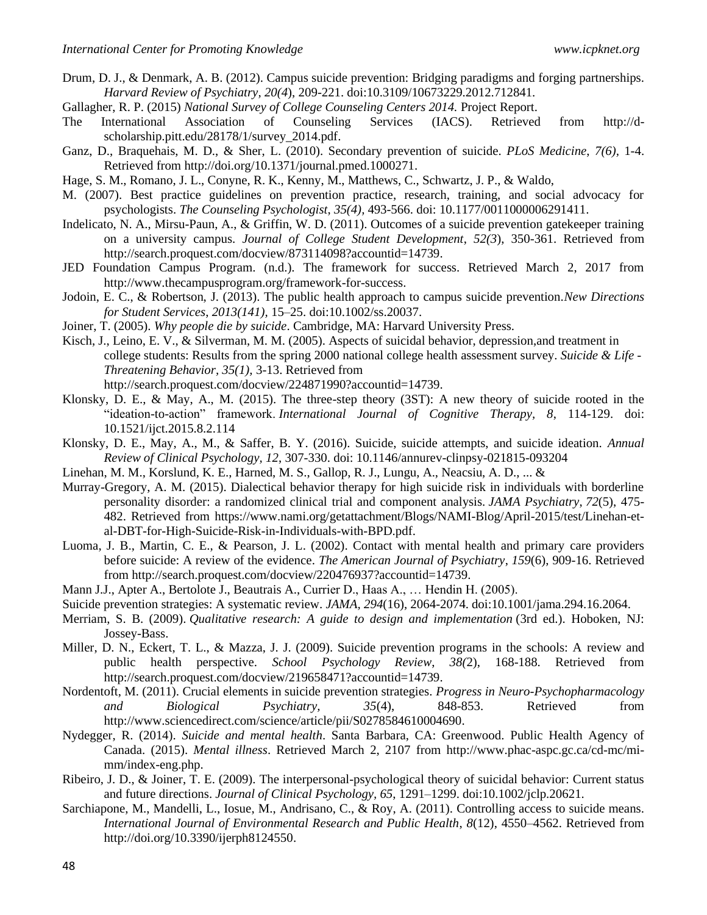- Drum, D. J., & Denmark, A. B. (2012). Campus suicide prevention: Bridging paradigms and forging partnerships. *Harvard Review of Psychiatry, 20(4*), 209-221. doi:10.3109/10673229.2012.712841.
- Gallagher, R. P. (2015) *National Survey of College Counseling Centers 2014.* Project Report.
- The International Association of Counseling Services (IACS). Retrieved from [http://d](http://d-scholarship.pitt.edu/28178/1/survey_2014.pdf)[scholarship.pitt.edu/28178/1/survey\\_2014.pdf.](http://d-scholarship.pitt.edu/28178/1/survey_2014.pdf)
- Ganz, D., Braquehais, M. D., & Sher, L. (2010). Secondary prevention of suicide. *PLoS Medicine*, *7(6),* 1-4. Retrieved from [http://doi.org/10.1371/journal.pmed.1000271.](http://doi.org/10.1371/journal.pmed.1000271)
- Hage, S. M., Romano, J. L., Conyne, R. K., Kenny, M., Matthews, C., Schwartz, J. P., & Waldo,
- M. (2007). Best practice guidelines on prevention practice, research, training, and social advocacy for psychologists. *The Counseling Psychologist*, *35(4),* 493-566. doi: [10.1177/0011000006291411.](http://dx.doi.org/10.1177%2F0011000006291411)
- Indelicato, N. A., Mirsu-Paun, A., & Griffin, W. D. (2011). Outcomes of a suicide prevention gatekeeper training on a university campus. *Journal of College Student Development*, *52(3*), 350-361. Retrieved from [http://search.proquest.com/docview/873114098?accountid=14739.](http://search.proquest.com/docview/873114098?accountid=14739)
- JED Foundation Campus Program. (n.d.). The framework for success. Retrieved March 2, 2017 from [http://www.thecampusprogram.org/framework-for-success.](http://www.thecampusprogram.org/framework-for-success)
- Jodoin, E. C., & Robertson, J. (2013). The public health approach to campus suicide prevention.*New Directions for Student Services*, *2013(141),* 15–25. doi:10.1002/ss.20037.
- Joiner, T. (2005). *Why people die by suicide*. Cambridge, MA: Harvard University Press.
- Kisch, J., Leino, E. V., & Silverman, M. M. (2005). Aspects of suicidal behavior, depression,and treatment in college students: Results from the spring 2000 national college health assessment survey. *Suicide & Life - Threatening Behavior, 35(1),* 3-13. Retrieved from [http://search.proquest.com/docview/224871990?accountid=14739.](http://search.proquest.com/docview/224871990?accountid=14739)
- Klonsky, D. E., & May, A., M. (2015). The three-step theory (3ST): A new theory of suicide rooted in the "ideation-to-action" framework. *International Journal of Cognitive Therapy, 8*, 114-129. doi: 10.1521/ijct.2015.8.2.114
- Klonsky, D. E., May, A., M., & Saffer, B. Y. (2016). Suicide, suicide attempts, and suicide ideation. *Annual Review of Clinical Psychology, 12*, 307-330. doi: 10.1146/annurev-clinpsy-021815-093204
- Linehan, M. M., Korslund, K. E., Harned, M. S., Gallop, R. J., Lungu, A., Neacsiu, A. D., ... &
- Murray-Gregory, A. M. (2015). Dialectical behavior therapy for high suicide risk in individuals with borderline personality disorder: a randomized clinical trial and component analysis. *JAMA Psychiatry*, *72*(5), 475- 482. Retrieved from [https://www.nami.org/getattachment/Blogs/NAMI-Blog/April-2015/test/Linehan-et](https://www.nami.org/getattachment/Blogs/NAMI-Blog/April-2015/test/Linehan-et-al-DBT-for-High-Suicide-Risk-in-Individuals-with-BPD.pdf)[al-DBT-for-High-Suicide-Risk-in-Individuals-with-BPD.pdf.](https://www.nami.org/getattachment/Blogs/NAMI-Blog/April-2015/test/Linehan-et-al-DBT-for-High-Suicide-Risk-in-Individuals-with-BPD.pdf)
- Luoma, J. B., Martin, C. E., & Pearson, J. L. (2002). Contact with mental health and primary care providers before suicide: A review of the evidence. *The American Journal of Psychiatry*, *159*(6), 909-16. Retrieved from [http://search.proquest.com/docview/220476937?accountid=14739.](http://search.proquest.com/docview/220476937?accountid=14739)
- Mann J.J., Apter A., Bertolote J., Beautrais A., Currier D., Haas A., … Hendin H. (2005).
- Suicide prevention strategies: A systematic review. *JAMA, 294*(16), 2064-2074. doi:10.1001/jama.294.16.2064.
- Merriam, S. B. (2009). *Qualitative research: A guide to design and implementation* (3rd ed.). Hoboken, NJ: Jossey-Bass.
- Miller, D. N., Eckert, T. L., & Mazza, J. J. (2009). Suicide prevention programs in the schools: A review and public health perspective. *School Psychology Review*, *38(*2), 168-188. Retrieved from [http://search.proquest.com/docview/219658471?accountid=14739.](http://search.proquest.com/docview/219658471?accountid=14739)
- Nordentoft, M. (2011). Crucial elements in suicide prevention strategies. *Progress in Neuro-Psychopharmacology and Biological Psychiatry, 35*(4), 848-853. Retrieved from [http://www.sciencedirect.com/science/article/pii/S0278584610004690.](http://www.sciencedirect.com/science/article/pii/S0278584610004690)
- Nydegger, R. (2014). *Suicide and mental health*. Santa Barbara, CA: Greenwood. Public Health Agency of Canada. (2015). *Mental illness*. Retrieved March 2, 2107 from [http://www.phac-aspc.gc.ca/cd-mc/mi](http://www.phac-aspc.gc.ca/cd-mc/mi-mm/index-eng.php)[mm/index-eng.php.](http://www.phac-aspc.gc.ca/cd-mc/mi-mm/index-eng.php)
- Ribeiro, J. D., & Joiner, T. E. (2009). The interpersonal-psychological theory of suicidal behavior: Current status and future directions. *Journal of Clinical Psychology, 65*, 1291–1299. doi:10.1002/jclp.20621.
- Sarchiapone, M., Mandelli, L., Iosue, M., Andrisano, C., & Roy, A. (2011). Controlling access to suicide means. *International Journal of Environmental Research and Public Health*, *8*(12), 4550–4562. Retrieved from [http://doi.org/10.3390/ijerph8124550.](http://doi.org/10.3390/ijerph8124550)